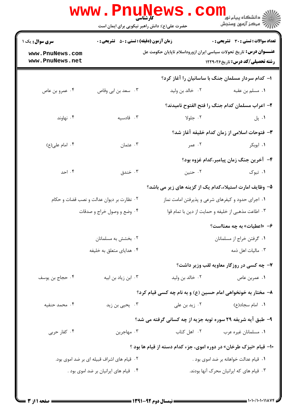|                                    | کارشناسی<br>حضرت علی(ع): دانش راهبر نیکویی برای ایمان است |                                                                             | ڪ دانشڪاه پيا <sub>م</sub> نور<br><mark>√</mark> مرڪز آزمون وسنڊش |  |  |
|------------------------------------|-----------------------------------------------------------|-----------------------------------------------------------------------------|-------------------------------------------------------------------|--|--|
| <b>سری سوال :</b> یک ۱             | <b>زمان آزمون (دقیقه) : تستی : 50 ٪ تشریحی : 0</b>        |                                                                             | <b>تعداد سوالات : تستي : 30 ٪ تشريحي : 0</b>                      |  |  |
| www.PnuNews.com<br>www.PnuNews.net |                                                           | <b>عنــــوان درس:</b> تاریخ تحولات سیاسی ایران ازوروداسلام تاپایان حکومت عل | <b>رشته تحصیلی/کد درس:</b> تاریخ122914                            |  |  |
|                                    |                                                           |                                                                             | ۱- کدام سردار مسلمان جنگ با ساسانیان را آغاز کرد؟                 |  |  |
| ۰۴ عمرو بن عاص                     | ۰۳ سعد بن ابي وقاص                                        | ۰۲ خالد بن وليد                                                             | <b>۱</b> . مسلم بن عقبه                                           |  |  |
|                                    |                                                           |                                                                             | ۲– اعراب مسلمان کدام جنگ را فتح الفتوح نامیدند؟                   |  |  |
| ۰۴ نهاوند                          | ۰۳ قادسیه                                                 | ۰۲ جلولا                                                                    | ۰۱ پل                                                             |  |  |
|                                    |                                                           |                                                                             | ۳– فتوحات اسلامی از زمان کدام خلیفه آغاز شد؟                      |  |  |
| ۰۴ امام علی(ع)                     | ۰۳ عثمان                                                  | ۲. عمر                                                                      | ۰۱ ابوبکر                                                         |  |  |
|                                    | ۴- آخرین جنگ زمان پیامبر،کدام غزوه بود؟                   |                                                                             |                                                                   |  |  |
| ۰۴ احد                             | ۰۳ خندق                                                   | ۰۲ حنين                                                                     | ۰۱ تبوک                                                           |  |  |
|                                    |                                                           | ۵– وظایف امارت استیلاء،کدام یک از گزینه های زیر می باشد؟                    |                                                                   |  |  |
|                                    | ۰۲ نظارت بر دیوان عدالت و نصب قضات و حکام                 | ۰۱ اجرای حدود و کیفرهای شرعی و پذیرفتن امامت نماز                           |                                                                   |  |  |
|                                    | ۰۴ وضع و وصول خراج و صدقات                                | ۰۳ اطاعت مذهبی از خلیفه و حمایت از دین با تمام قوا                          |                                                                   |  |  |
|                                    |                                                           |                                                                             | ۶- «اعطیات» به چه معنااست؟                                        |  |  |
|                                    | ۰۲ بخشش به مسلمانان                                       | ۰۱ گرفتن خراج از مسلمانان                                                   |                                                                   |  |  |
|                                    | ۰۴ هدایای متعلق به خلیفه                                  | ۰۳ مالیات اهل ذمه                                                           |                                                                   |  |  |
|                                    |                                                           |                                                                             | ۷- چه کسی در روزگار معاویه لقب وزیر داشت؟                         |  |  |
| ۰۴ حجاج بن يوسف                    | ۰۳ ابن زیاد بن ابیه                                       | ۰۲ خالد بن وليد                                                             | ۰۱ عمربن عاص                                                      |  |  |
|                                    |                                                           | ۸– مختار به خونخواهی امام حسین (ع) و به نام چه کسی قیام کرد؟                |                                                                   |  |  |
| ۰۴ محمد حنفیه                      | ۰۳ یحیی بن زید                                            | ۰۲ زید بن علی                                                               | ۰۱ امام سجاد(ع)                                                   |  |  |
|                                    |                                                           | ۹- طبق آیه شریفه ۲۹ سوره توبه جزیه از چه کسانی گرفته می شد؟                 |                                                                   |  |  |
| ۰۴ کفار حربی                       | ۰۳ مهاجرین                                                | ۰۲ اهل کتاب                                                                 | ۰۱ مسلمانان غیره عرب                                              |  |  |
|                                    |                                                           | <b>۰۱۰</b> قیام «نیزک طرخان» در دوره اموی، جزء کدام دسته از قیام ها بود ؟   |                                                                   |  |  |
|                                    | ۰۲ قیام های اشراف قبیله ای بر ضد اموی بود.                | ۰۱ قیام عدالت خواهانه بر ضد اموی بود .                                      |                                                                   |  |  |
|                                    | ۰۴ قیام های ایرانیان بر ضد اموی بود .                     |                                                                             | ۰۳ قیام های که ایرانیان محرک آنها بودند.                          |  |  |
|                                    |                                                           |                                                                             |                                                                   |  |  |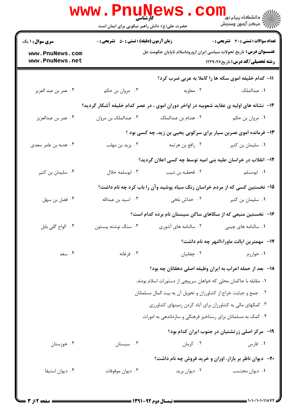|                                    | <b>www.PnuNews</b><br>کار شناسی<br>حضرت علی(ع): دانش راهبر نیکویی برای ایمان است |                                                                                           |                                                        |  |
|------------------------------------|----------------------------------------------------------------------------------|-------------------------------------------------------------------------------------------|--------------------------------------------------------|--|
| <b>سری سوال :</b> ۱ یک             | <b>زمان آزمون (دقیقه) : تستی : 50 ٪ تشریحی : 0</b>                               |                                                                                           | تعداد سوالات : تستي : 30 ٪ تشريحي : 0                  |  |
| www.PnuNews.com<br>www.PnuNews.net |                                                                                  | <b>عنــــوان درس:</b> تاریخ تحولات سیاسی ایران ازوروداسلام تاپایان حکومت عل               | <b>رشته تحصیلی/کد درس:</b> تاریخ122912                 |  |
|                                    |                                                                                  | 11- کدام خلیفه اموی سکه ها را کاملا به عربی ضرب کرد؟                                      |                                                        |  |
| ۰۴ عمر بن عبد العزيز               | ۰۳ مروان بن حکم                                                                  | ۰۲ معاویه                                                                                 | ٠١ عبدالملک                                            |  |
|                                    |                                                                                  | ۱۲- ً نشانه های اولیه ی عقاید شعوبیه در اواخر دوران اموی ، در عصر کدام خلیفه آشکار گردید؟ |                                                        |  |
| ۰۴ عمر بن عبدالعزيز                | ۰۳ عبدالملک بن مروان                                                             | ۰۲ هشام بن عبدالملک                                                                       | ۰۱ مروان بن حکم                                        |  |
|                                    |                                                                                  | ۱۳- فرمانده اموی نصربن سیار برای سرکوبی یحیی بن زید، چه کسی بود ؟                         |                                                        |  |
| ۰۴ هدبه بن عامر سعدي               | ۰۳ یزید بن مهلب                                                                  | ۰۲ رافع بن هرثمه                                                                          | ۰۱ سلیمان بن کثیر                                      |  |
|                                    |                                                                                  | ۱۴– انقلاب در خراسان علیه بنی امیه توسط چه کسی اعلان گردید؟                               |                                                        |  |
| ۰۴ سلیمان بن کثیر                  | ۰۳ ابوسلمه خلال                                                                  | ۰۲ قحطبه بن شیب                                                                           | ۰۱ ابومسلم                                             |  |
|                                    |                                                                                  | ۱۵– نخستین کسی که از مردم خراسان رنگ سیاه پوشید وآن را باب کرد چه نام داشت؟               |                                                        |  |
| ۰۴ فضل بن سهل                      | ۰۳ اسید بن عبدالله                                                               | ۰۲ خداش بلخی                                                                              | ۰۱ سلیمان بن کثیر                                      |  |
|                                    |                                                                                  | ۱۶– نخستین منبعی که از سکاهای ساکن سیستان نام برده کدام است؟                              |                                                        |  |
| ۰۴ الواح گلی بابل                  | ۰۳ سنگ نوشته بیستون                                                              | ۰۲ سالنامه های آشوری                                                                      | ۰۱ سالنامه های چینی                                    |  |
|                                    |                                                                                  |                                                                                           | 17- مهمترين ايالت ماوراءالنهر چه نام داشت؟             |  |
| ۰۴ سغد                             | ۰۳ فرغانه                                                                        | ٠٢ چغانيان                                                                                | ۰۱ خوارزم                                              |  |
|                                    |                                                                                  | ۱۸– بعد از حمله اعراب به ایران وظیفه اصلی دهقانان چه بود؟                                 |                                                        |  |
|                                    |                                                                                  | ۰۱ مقابله با حاکمان محلی که خواهان سرپیچی از دستورات اسلام بودند.                         |                                                        |  |
|                                    |                                                                                  | ۰۲ جمع و جبایت خراج از کشاورزان و تحویل آن به بیت المال مسلمانان                          |                                                        |  |
|                                    |                                                                                  | ۰۳ کمکهای مالی به کشاورزان برای آباد کردن زمینهای کشاورزی                                 |                                                        |  |
|                                    |                                                                                  | ۰۴ کمک به مسلمانان برای رستاخیز فرهنگی و سازماندهی به امورات                              |                                                        |  |
|                                    |                                                                                  |                                                                                           | <b>۱۹</b> - مرکز اصلی زرتشتیان در جنوب ایران کدام بود؟ |  |
| ۰۴ خوزستان                         | ۰۳ سیستان                                                                        | ۰۲ کرمان                                                                                  | ۰۱ فارس                                                |  |
|                                    | <b>+۲-</b> دیوان ناظر بر بازار، اوزان و خرید فروش چه نام داشت؟                   |                                                                                           |                                                        |  |
| ۰۴ ديوان استيفا                    | ۰۳ ديوان موقوفات                                                                 | ۰۲ دیوان برید                                                                             | ٠١ ديوان محتسب                                         |  |
|                                    |                                                                                  |                                                                                           |                                                        |  |